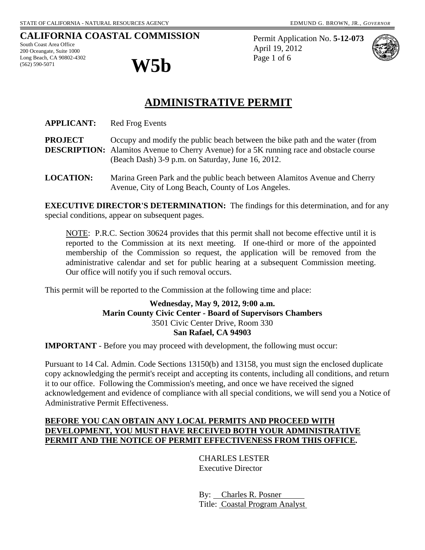# **CALIFORNIA COASTAL COMMISSION**

South Coast Area Office 200 Oceangate, Suite 1000 Long Beach, CA 90802-4302  $\mathbf{W5}$ 



Permit Application No. **5-12-073** April 19, 2012 Page 1 of 6



# **ADMINISTRATIVE PERMIT**

**APPLICANT:** Red Frog Events

**PROJECT** Occupy and modify the public beach between the bike path and the water (from **DESCRIPTION:** Alamitos Avenue to Cherry Avenue) for a 5K running race and obstacle course (Beach Dash) 3-9 p.m. on Saturday, June 16, 2012.

**LOCATION:** Marina Green Park and the public beach between Alamitos Avenue and Cherry Avenue, City of Long Beach, County of Los Angeles.

**EXECUTIVE DIRECTOR'S DETERMINATION:** The findings for this determination, and for any special conditions, appear on subsequent pages.

NOTE: P.R.C. Section 30624 provides that this permit shall not become effective until it is reported to the Commission at its next meeting. If one-third or more of the appointed membership of the Commission so request, the application will be removed from the administrative calendar and set for public hearing at a subsequent Commission meeting. Our office will notify you if such removal occurs.

This permit will be reported to the Commission at the following time and place:

### **Wednesday, May 9, 2012, 9:00 a.m. Marin County Civic Center - Board of Supervisors Chambers** 3501 Civic Center Drive, Room 330 **San Rafael, CA 94903**

**IMPORTANT** - Before you may proceed with development, the following must occur:

Pursuant to 14 Cal. Admin. Code Sections 13150(b) and 13158, you must sign the enclosed duplicate copy acknowledging the permit's receipt and accepting its contents, including all conditions, and return it to our office. Following the Commission's meeting, and once we have received the signed acknowledgement and evidence of compliance with all special conditions, we will send you a Notice of Administrative Permit Effectiveness.

### **BEFORE YOU CAN OBTAIN ANY LOCAL PERMITS AND PROCEED WITH DEVELOPMENT, YOU MUST HAVE RECEIVED BOTH YOUR ADMINISTRATIVE PERMIT AND THE NOTICE OF PERMIT EFFECTIVENESS FROM THIS OFFICE.**

 CHARLES LESTER Executive Director

 By: Charles R. Posner Title: Coastal Program Analyst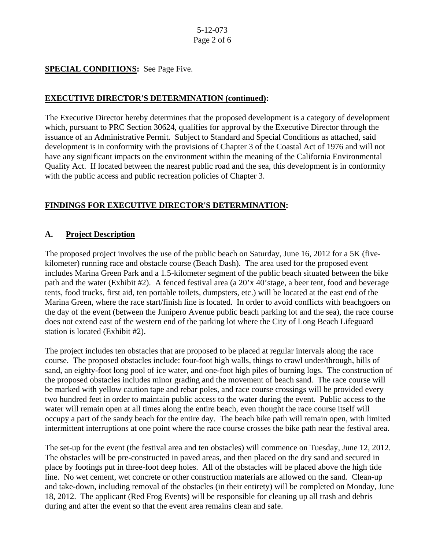### **SPECIAL CONDITIONS:** See Page Five.

#### **EXECUTIVE DIRECTOR'S DETERMINATION (continued):**

The Executive Director hereby determines that the proposed development is a category of development which, pursuant to PRC Section 30624, qualifies for approval by the Executive Director through the issuance of an Administrative Permit. Subject to Standard and Special Conditions as attached, said development is in conformity with the provisions of Chapter 3 of the Coastal Act of 1976 and will not have any significant impacts on the environment within the meaning of the California Environmental Quality Act. If located between the nearest public road and the sea, this development is in conformity with the public access and public recreation policies of Chapter 3.

# **FINDINGS FOR EXECUTIVE DIRECTOR'S DETERMINATION:**

# **A. Project Description**

The proposed project involves the use of the public beach on Saturday, June 16, 2012 for a 5K (fivekilometer) running race and obstacle course (Beach Dash). The area used for the proposed event includes Marina Green Park and a 1.5-kilometer segment of the public beach situated between the bike path and the water (Exhibit #2). A fenced festival area (a 20'x 40'stage, a beer tent, food and beverage tents, food trucks, first aid, ten portable toilets, dumpsters, etc.) will be located at the east end of the Marina Green, where the race start/finish line is located. In order to avoid conflicts with beachgoers on the day of the event (between the Junipero Avenue public beach parking lot and the sea), the race course does not extend east of the western end of the parking lot where the City of Long Beach Lifeguard station is located (Exhibit #2).

The project includes ten obstacles that are proposed to be placed at regular intervals along the race course. The proposed obstacles include: four-foot high walls, things to crawl under/through, hills of sand, an eighty-foot long pool of ice water, and one-foot high piles of burning logs. The construction of the proposed obstacles includes minor grading and the movement of beach sand. The race course will be marked with yellow caution tape and rebar poles, and race course crossings will be provided every two hundred feet in order to maintain public access to the water during the event. Public access to the water will remain open at all times along the entire beach, even thought the race course itself will occupy a part of the sandy beach for the entire day. The beach bike path will remain open, with limited intermittent interruptions at one point where the race course crosses the bike path near the festival area.

The set-up for the event (the festival area and ten obstacles) will commence on Tuesday, June 12, 2012. The obstacles will be pre-constructed in paved areas, and then placed on the dry sand and secured in place by footings put in three-foot deep holes. All of the obstacles will be placed above the high tide line. No wet cement, wet concrete or other construction materials are allowed on the sand. Clean-up and take-down, including removal of the obstacles (in their entirety) will be completed on Monday, June 18, 2012. The applicant (Red Frog Events) will be responsible for cleaning up all trash and debris during and after the event so that the event area remains clean and safe.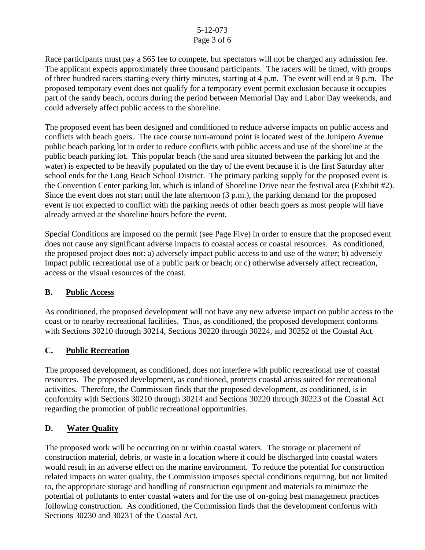#### 5-12-073 Page 3 of 6

Race participants must pay a \$65 fee to compete, but spectators will not be charged any admission fee. The applicant expects approximately three thousand participants. The racers will be timed, with groups of three hundred racers starting every thirty minutes, starting at 4 p.m. The event will end at 9 p.m. The proposed temporary event does not qualify for a temporary event permit exclusion because it occupies part of the sandy beach, occurs during the period between Memorial Day and Labor Day weekends, and could adversely affect public access to the shoreline.

The proposed event has been designed and conditioned to reduce adverse impacts on public access and conflicts with beach goers. The race course turn-around point is located west of the Junipero Avenue public beach parking lot in order to reduce conflicts with public access and use of the shoreline at the public beach parking lot. This popular beach (the sand area situated between the parking lot and the water) is expected to be heavily populated on the day of the event because it is the first Saturday after school ends for the Long Beach School District. The primary parking supply for the proposed event is the Convention Center parking lot, which is inland of Shoreline Drive near the festival area (Exhibit #2). Since the event does not start until the late afternoon (3 p.m.), the parking demand for the proposed event is not expected to conflict with the parking needs of other beach goers as most people will have already arrived at the shoreline hours before the event.

Special Conditions are imposed on the permit (see Page Five) in order to ensure that the proposed event does not cause any significant adverse impacts to coastal access or coastal resources. As conditioned, the proposed project does not: a) adversely impact public access to and use of the water; b) adversely impact public recreational use of a public park or beach; or c) otherwise adversely affect recreation, access or the visual resources of the coast.

# **B. Public Access**

As conditioned, the proposed development will not have any new adverse impact on public access to the coast or to nearby recreational facilities. Thus, as conditioned, the proposed development conforms with Sections 30210 through 30214, Sections 30220 through 30224, and 30252 of the Coastal Act.

# **C. Public Recreation**

The proposed development, as conditioned, does not interfere with public recreational use of coastal resources. The proposed development, as conditioned, protects coastal areas suited for recreational activities. Therefore, the Commission finds that the proposed development, as conditioned, is in conformity with Sections 30210 through 30214 and Sections 30220 through 30223 of the Coastal Act regarding the promotion of public recreational opportunities.

# **D. Water Quality**

The proposed work will be occurring on or within coastal waters. The storage or placement of construction material, debris, or waste in a location where it could be discharged into coastal waters would result in an adverse effect on the marine environment. To reduce the potential for construction related impacts on water quality, the Commission imposes special conditions requiring, but not limited to, the appropriate storage and handling of construction equipment and materials to minimize the potential of pollutants to enter coastal waters and for the use of on-going best management practices following construction. As conditioned, the Commission finds that the development conforms with Sections 30230 and 30231 of the Coastal Act.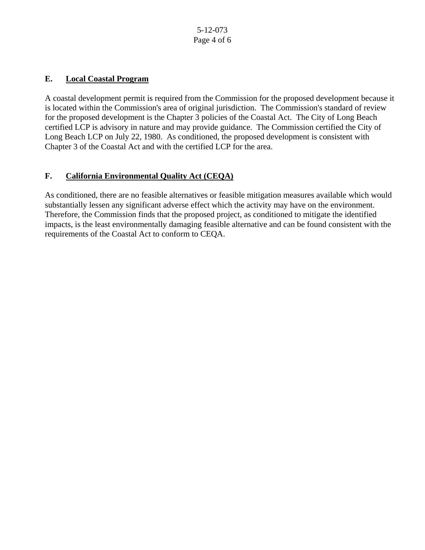# **E. Local Coastal Program**

A coastal development permit is required from the Commission for the proposed development because it is located within the Commission's area of original jurisdiction. The Commission's standard of review for the proposed development is the Chapter 3 policies of the Coastal Act. The City of Long Beach certified LCP is advisory in nature and may provide guidance. The Commission certified the City of Long Beach LCP on July 22, 1980. As conditioned, the proposed development is consistent with Chapter 3 of the Coastal Act and with the certified LCP for the area.

# **F. California Environmental Quality Act (CEQA)**

As conditioned, there are no feasible alternatives or feasible mitigation measures available which would substantially lessen any significant adverse effect which the activity may have on the environment. Therefore, the Commission finds that the proposed project, as conditioned to mitigate the identified impacts, is the least environmentally damaging feasible alternative and can be found consistent with the requirements of the Coastal Act to conform to CEQA.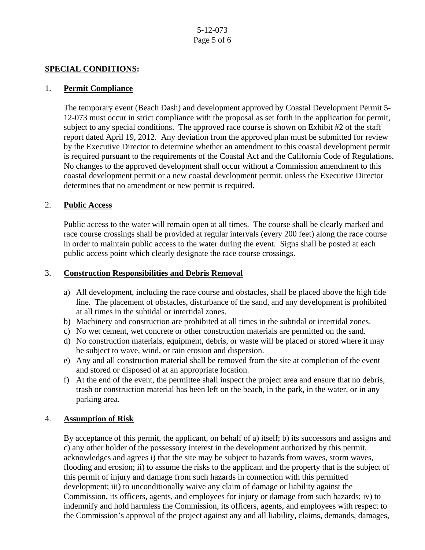#### **SPECIAL CONDITIONS:**

#### 1. **Permit Compliance**

The temporary event (Beach Dash) and development approved by Coastal Development Permit 5- 12-073 must occur in strict compliance with the proposal as set forth in the application for permit, subject to any special conditions. The approved race course is shown on Exhibit #2 of the staff report dated April 19, 2012. Any deviation from the approved plan must be submitted for review by the Executive Director to determine whether an amendment to this coastal development permit is required pursuant to the requirements of the Coastal Act and the California Code of Regulations. No changes to the approved development shall occur without a Commission amendment to this coastal development permit or a new coastal development permit, unless the Executive Director determines that no amendment or new permit is required.

#### 2. **Public Access**

Public access to the water will remain open at all times. The course shall be clearly marked and race course crossings shall be provided at regular intervals (every 200 feet) along the race course in order to maintain public access to the water during the event. Signs shall be posted at each public access point which clearly designate the race course crossings.

#### 3. **Construction Responsibilities and Debris Removal**

- a) All development, including the race course and obstacles, shall be placed above the high tide line. The placement of obstacles, disturbance of the sand, and any development is prohibited at all times in the subtidal or intertidal zones.
- b) Machinery and construction are prohibited at all times in the subtidal or intertidal zones.
- c) No wet cement, wet concrete or other construction materials are permitted on the sand.
- d) No construction materials, equipment, debris, or waste will be placed or stored where it may be subject to wave, wind, or rain erosion and dispersion.
- e) Any and all construction material shall be removed from the site at completion of the event and stored or disposed of at an appropriate location.
- f) At the end of the event, the permittee shall inspect the project area and ensure that no debris, trash or construction material has been left on the beach, in the park, in the water, or in any parking area.

#### 4. **Assumption of Risk**

By acceptance of this permit, the applicant, on behalf of a) itself; b) its successors and assigns and c) any other holder of the possessory interest in the development authorized by this permit, acknowledges and agrees i) that the site may be subject to hazards from waves, storm waves, flooding and erosion; ii) to assume the risks to the applicant and the property that is the subject of this permit of injury and damage from such hazards in connection with this permitted development; iii) to unconditionally waive any claim of damage or liability against the Commission, its officers, agents, and employees for injury or damage from such hazards; iv) to indemnify and hold harmless the Commission, its officers, agents, and employees with respect to the Commission's approval of the project against any and all liability, claims, demands, damages,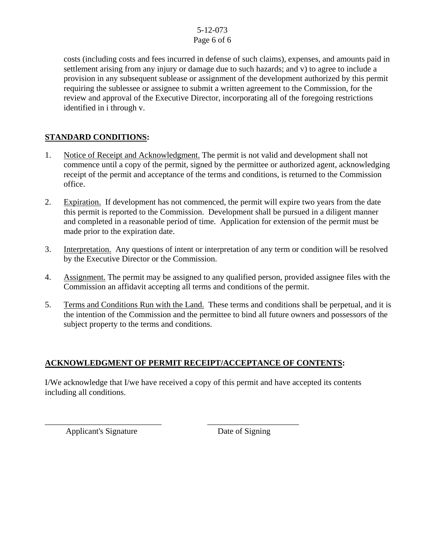#### 5-12-073 Page 6 of 6

costs (including costs and fees incurred in defense of such claims), expenses, and amounts paid in settlement arising from any injury or damage due to such hazards; and v) to agree to include a provision in any subsequent sublease or assignment of the development authorized by this permit requiring the sublessee or assignee to submit a written agreement to the Commission, for the review and approval of the Executive Director, incorporating all of the foregoing restrictions identified in i through v.

# **STANDARD CONDITIONS:**

- 1. Notice of Receipt and Acknowledgment. The permit is not valid and development shall not commence until a copy of the permit, signed by the permittee or authorized agent, acknowledging receipt of the permit and acceptance of the terms and conditions, is returned to the Commission office.
- 2. Expiration. If development has not commenced, the permit will expire two years from the date this permit is reported to the Commission. Development shall be pursued in a diligent manner and completed in a reasonable period of time. Application for extension of the permit must be made prior to the expiration date.
- 3. Interpretation. Any questions of intent or interpretation of any term or condition will be resolved by the Executive Director or the Commission.
- 4. Assignment. The permit may be assigned to any qualified person, provided assignee files with the Commission an affidavit accepting all terms and conditions of the permit.
- 5. Terms and Conditions Run with the Land. These terms and conditions shall be perpetual, and it is the intention of the Commission and the permittee to bind all future owners and possessors of the subject property to the terms and conditions.

# **ACKNOWLEDGMENT OF PERMIT RECEIPT/ACCEPTANCE OF CONTENTS:**

\_\_\_\_\_\_\_\_\_\_\_\_\_\_\_\_\_\_\_\_\_\_\_\_\_\_\_\_ \_\_\_\_\_\_\_\_\_\_\_\_\_\_\_\_\_\_\_\_\_\_

I/We acknowledge that I/we have received a copy of this permit and have accepted its contents including all conditions.

Applicant's Signature Date of Signing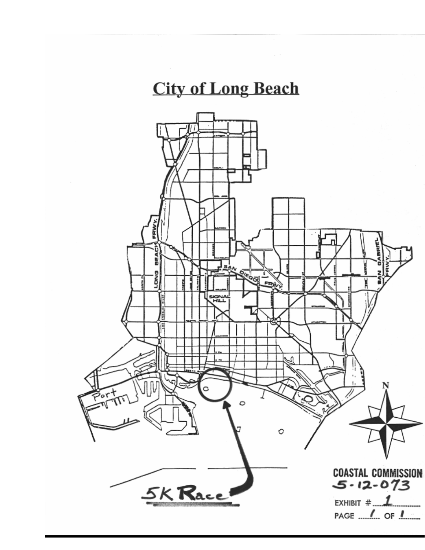# **City of Long Beach**